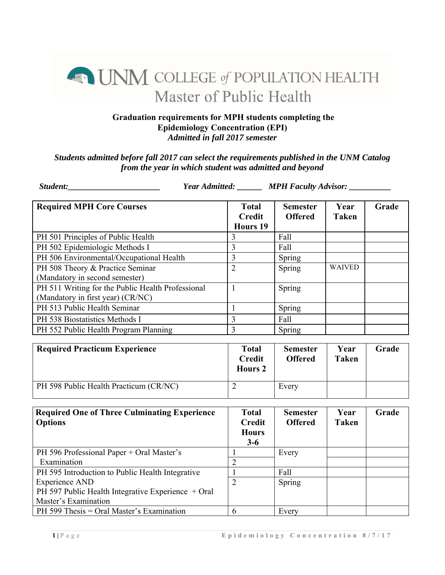## **THE UNIM COLLEGE of POPULATION HEALTH** Master of Public Health

## **Graduation requirements for MPH students completing the Epidemiology Concentration (EPI)**  *Admitted in fall 2017 semester*

## *Students admitted before fall 2017 can select the requirements published in the UNM Catalog from the year in which student was admitted and beyond*

| Student: | Year Admitted: | <b>MPH Faculty Advisor:</b> |
|----------|----------------|-----------------------------|
|          |                |                             |

| <b>Required MPH Core Courses</b>                  | <b>Total</b><br><b>Credit</b> | <b>Semester</b><br><b>Offered</b> | Year<br><b>Taken</b> | Grade |
|---------------------------------------------------|-------------------------------|-----------------------------------|----------------------|-------|
|                                                   | <b>Hours</b> 19               |                                   |                      |       |
| PH 501 Principles of Public Health                |                               | Fall                              |                      |       |
| PH 502 Epidemiologic Methods I                    | 3                             | Fall                              |                      |       |
| PH 506 Environmental/Occupational Health          | 3                             | Spring                            |                      |       |
| PH 508 Theory & Practice Seminar                  | 2                             | Spring                            | <b>WAIVED</b>        |       |
| (Mandatory in second semester)                    |                               |                                   |                      |       |
| PH 511 Writing for the Public Health Professional |                               | Spring                            |                      |       |
| (Mandatory in first year) (CR/NC)                 |                               |                                   |                      |       |
| PH 513 Public Health Seminar                      |                               | Spring                            |                      |       |
| PH 538 Biostatistics Methods I                    | 3                             | Fall                              |                      |       |
| PH 552 Public Health Program Planning             | 3                             | Spring                            |                      |       |

| <b>Required Practicum Experience</b>   | <b>Total</b><br>Credit<br><b>Hours 2</b> | <b>Semester</b><br><b>Offered</b> | Year<br><b>Taken</b> | Grade |
|----------------------------------------|------------------------------------------|-----------------------------------|----------------------|-------|
| PH 598 Public Health Practicum (CR/NC) |                                          | Every                             |                      |       |

| <b>Required One of Three Culminating Experience</b><br><b>Options</b> | <b>Total</b><br>Credit<br><b>Hours</b><br>$3-6$ | <b>Semester</b><br><b>Offered</b> | Year<br><b>Taken</b> | Grade |
|-----------------------------------------------------------------------|-------------------------------------------------|-----------------------------------|----------------------|-------|
| PH 596 Professional Paper + Oral Master's                             |                                                 | Every                             |                      |       |
| Examination                                                           |                                                 |                                   |                      |       |
| PH 595 Introduction to Public Health Integrative                      |                                                 | Fall                              |                      |       |
| <b>Experience AND</b>                                                 | $\overline{2}$                                  | Spring                            |                      |       |
| PH 597 Public Health Integrative Experience + Oral                    |                                                 |                                   |                      |       |
| Master's Examination                                                  |                                                 |                                   |                      |       |
| PH 599 Thesis = Oral Master's Examination                             | 6                                               | Every                             |                      |       |